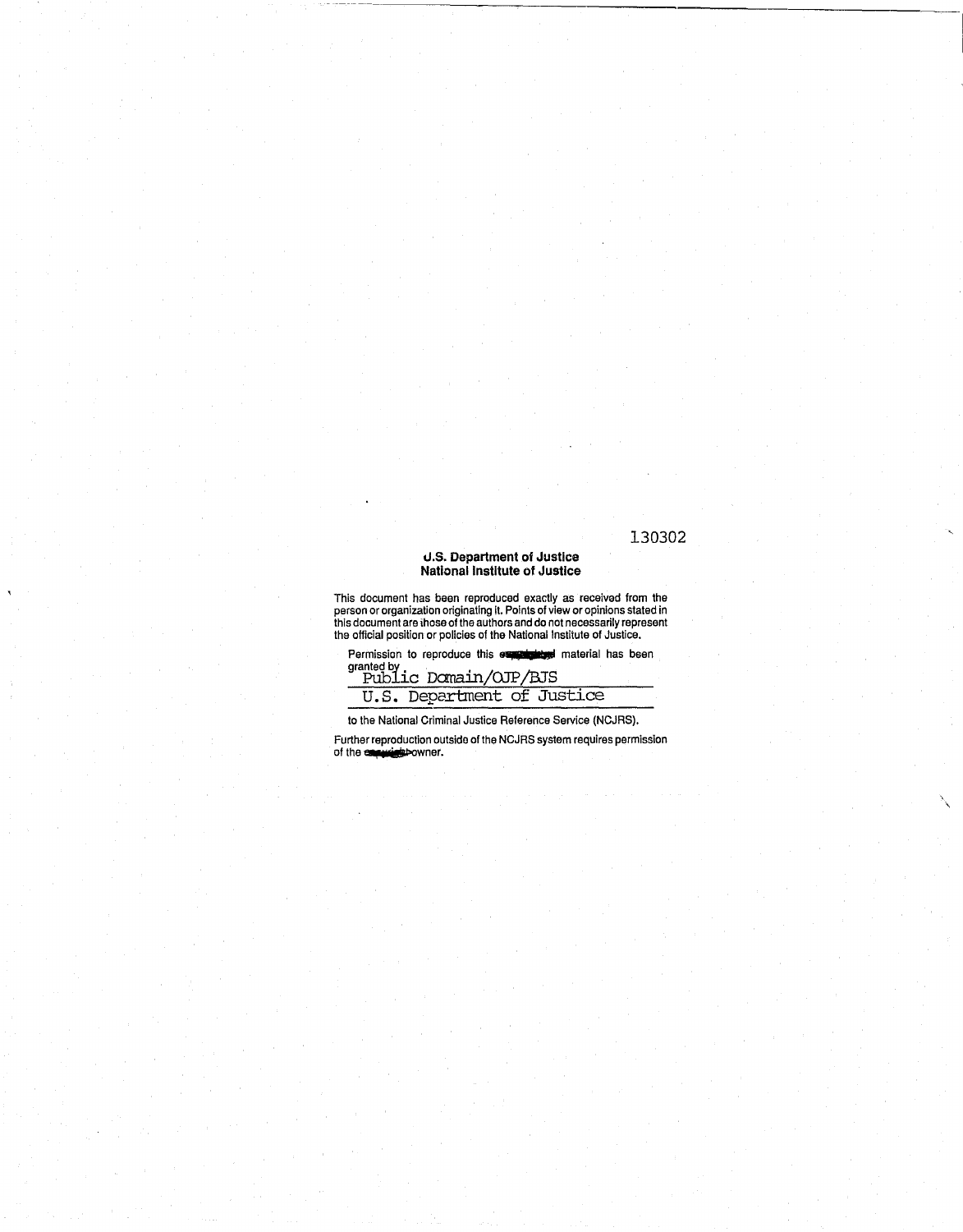#### 130302

 $\lambda$  $\overline{\phantom{a}}$ 

#### U.S. **Department of Justice**  National Institute **of Justice**

This document has been reproduced exactly as received from the person or organization originating It. Points of view or opinions stated in this document are ihose of the authors and do not necessarily represent the official position or pOlicies of the National Institute of Justice.

Permission to reproduce this **expression** material has been

official position or policies of the National In<br>Permission to reproduce this expressed<br>granted by PubLic Domain/OJP/BJS u. S. Department of Justice

to the National Criminal Justice Reference Service (NCJRS).

Further reproduction outside of the NCJRS system requires permission<br>of the experiment of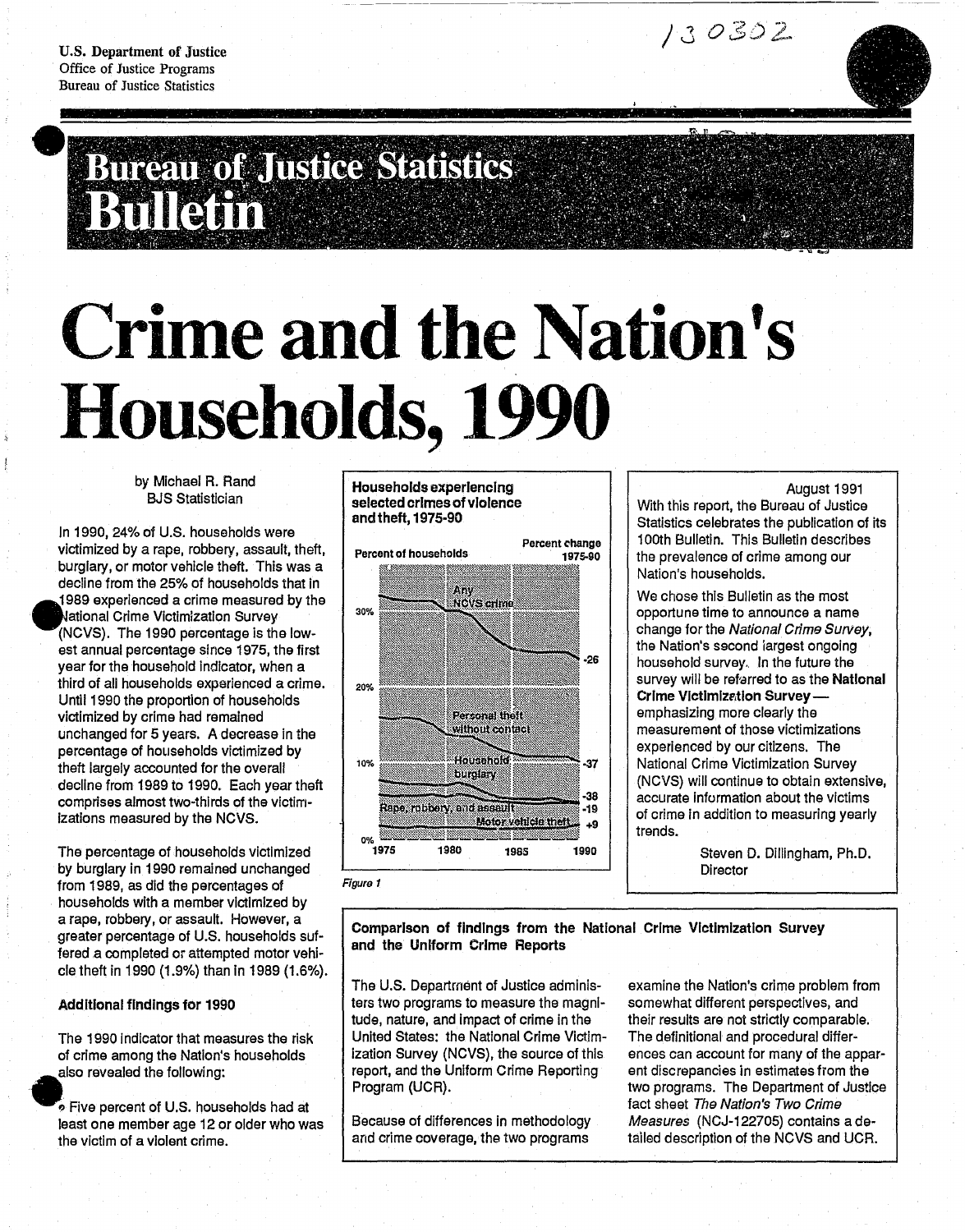

# **•**

## **Crime and the Nation's Households, 1990**

by Michael R. Rand BJS Statistician

In 1990, 24% of U.S. households were victimized by a rape, robbery, assault, theft, burglary, or motor vehicle theft. This was a decline from the 25% of households that In 1989 experienced a crime measured by the ~ational Crime Vlctlmlzatlon Survey (NCVS). The 1990 percentage is the lowest annual percentage since 1975, the first year for the household Indicator, when a third of all households experienced a crime. Until 1990 the proportion of households victimized by crime had remained unchanged for 5 years. A decrease in the percentage of hOllseholds victimized by theft largely accounted for the overall decline from 1989 to 1990. Each year theft comprises almost two-thirds of the victim-Izations measured by the NCVS.

The percentage of households victimized by burglary in 1990 remained unchanged from 1989, as did the percentages of households with a member victimized by a rape, robbery, or assault. However, a greater percentage of U.S. households suffered.a completed or attempted motor vehicle theft in 1990 (1.9%) than In 1989 (1.6%).

#### Additional findings for 1990

The 1990 Indicator that measures the risk of crime among the Nation's households also revealed the following:

. Five percent of U.S. households had at least one member age 12 or older who was the victim of a violent crime.

Households experiencing selected crimes of violence and theft, 1975·90



August 1991 With this report, the Bureau of Justice

Statistics celebrates the publication of its 100th Bulletin. This Bulletin describes the prevalence of crime among our Nation's households.

130302

We chose this Bulletin as the most opportune time to announce a name change for the National Crime Survey, the Nation's second largest ongoing household survey. In the future the survey will be refarred to as the National Crime Victimization Surveyemphasizing more clearly the measurement of those victimizations experienced by our citizens. The National Crime Victimization Survey (NCVS) will continue to obtain extensive, accurate information about the victims of crime In addition to measuring yearly trends.

> Steven D. Dillingham, Ph.D. **Director**

Comparison of findings from the National Crime Victimization Survey and the Uniform Crime Reports

The U.S. Department of Justice administers two programs to measure the magnitude, nature, and Impact of crime in the United States: the National Crime Victimization Survey (NCVS), the source of this report, and the Uniform Crime Reporting Program (UCR).

Because of differences in methodology and crime coverage, the two programs

examine the Nation's crime problem from somewhat different perspectives, and their results are not strictly comparable. The definitional and procedural differences can account for many of the apparent discrepancies in estimates from the two programs. The Department of Justice fact sheet The Nation's Two Crime Measures (NCJ-122705) contains a detailed description of the NCVS and UCR.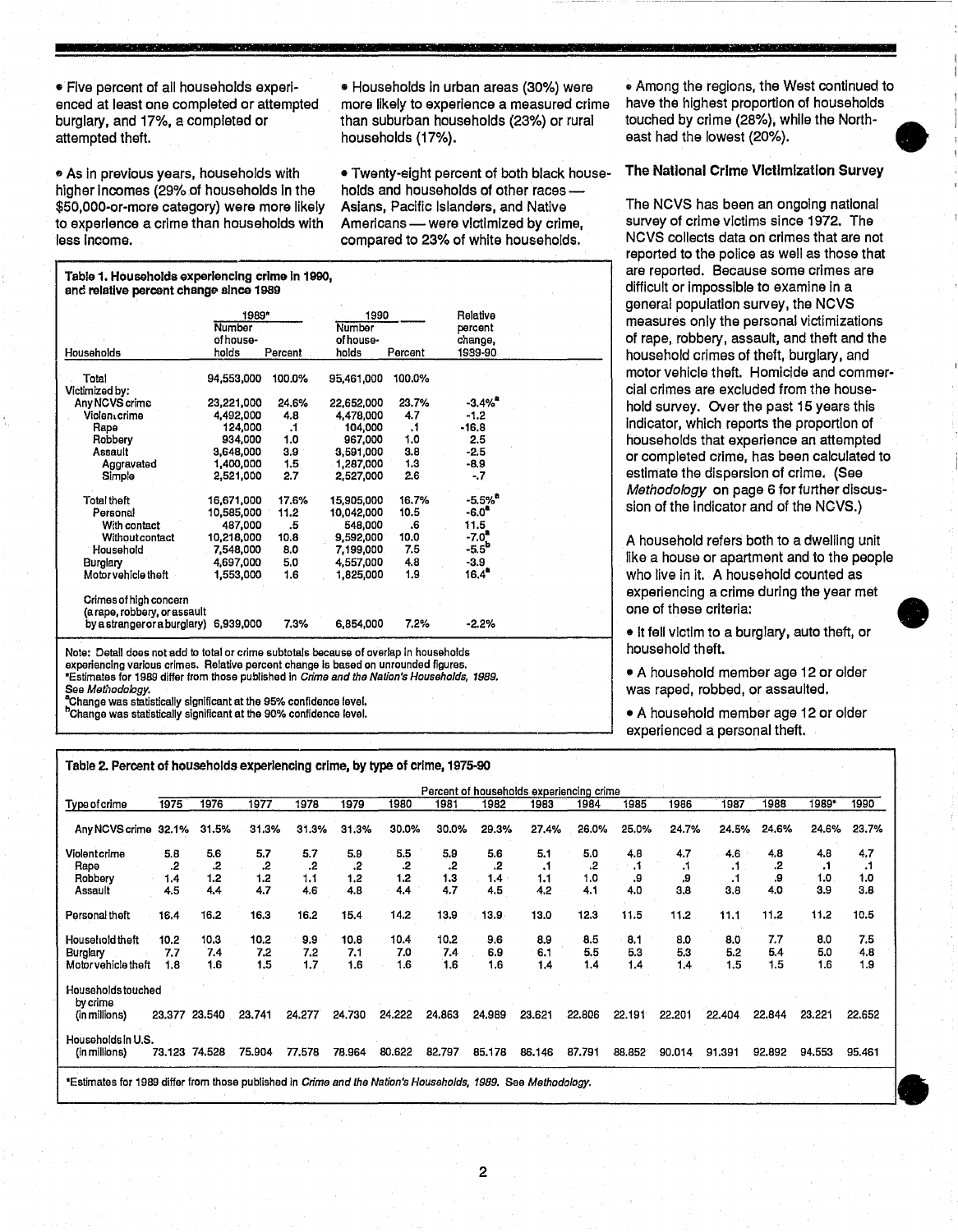• Five percent of ail households experIenced at least one completed or attempted burglary, and 17%, a completed or attempted theft.

فتعاب والمد

فتركان الأناب

عناس ولواحد المتناق

" As In previous years, households with higher incomes (29% of households in the \$50.000-or-more category) were more likely to experience a crime than households with less Income.

Table 1. Households experiencing crime In 1990, and relative percent change since 1989

Total 94.553,000 100.0% 95,461,000 100.0%

2,521,000

With contact  $\begin{array}{cccc} 487,000 & .5 & .548,000 & .6 \\ \text{Without contact} & 10,218,000 & 10.8 & .9,592,000 & 10.0 \end{array}$ Without contact 10,218,000 10.8 9,592,000 10.0<br>Household 7,548,000 8.0 7,199,000 7.5

Any NCVS crime 23,221,000 24.6% 22,652,000 23.7% -3.4% • Violen,crlme 4,492,000 4.8 4,478,000 4.7 -1.2 Rape 124,000 .1 104,000 .1 -16.8 Robbery 934,000 1.0 967,000 1.0 2.5 Assault 3,648,000 3.9 3,591,000 3.8 -2.5 Aggravated 1,400,000 1.5 1,287,000 1.3 -8.9<br>Simple 2,521,000 2.7 2,527,000 2.6 -.7

Total theft 16,671,000 17.6% 15,905,000 16.7% -5.5%<sup>8</sup><br>Personal 10,585,000 11.2 10,042,000 10.5 -6.0<sup>a</sup>

Households

Victimized by:

See<br>Por<br>Por

• Households in urban areas (30%) were more likely to experience a measured crime than suburban households (23%) or rural households (17%).

• Twenty-eight percent of both black households and households of other races -Asians, Pacific Islanders, and Native Americans - were victimized by crime, compared to 23% of white households.

<sup>~</sup>Among the regions, the West continued to have the highest proportion of households touched by crime (28%), while the North- • east had the lowest (20%).

The National Crime Victimization Survey

The NCVS has been an ongoing national survey of crime victims since 1972. The NCVS collects data on crimes that are not reported to the police as well as those that are reported. Because some crimes are difficult or Impossible to examine in a general population survey, the NCVS measures only the personal victimizations of rape, robbery, assault, and theft and the household crimes of theft, burglary, and motor vehicle theft. Homicide and commercial crimes are excluded from the household survey. OVer the past 15 years this Indicator, which reports the proportion of households that experience an attempted or completed crime, has been calculated to estimate the dispersion of crime. (See Methodology on page 6 for further discussion of the indicator and of the NCVS.)

A household refers both to a dwelling unit like a house or apartment and to the people who live in it. A household counted as periencing a crime during the year met e of these criteria:

• It fell victim to a burglary, auto theft. or usehold theft.

• A household member age 12 or older as raped, robbed, or assaulted.

• A household member age 12 or older perienced a personal theft.

| Household                                                                                          |      | 7.548.000 | 8.0   |       | 7,199,000 | 7.5   |       | $-5.5^{\circ}$ |                                          |       | . .         |
|----------------------------------------------------------------------------------------------------|------|-----------|-------|-------|-----------|-------|-------|----------------|------------------------------------------|-------|-------------|
| Burglary                                                                                           |      | 4,697,000 | 5.0   |       | 4,557,000 | 4.8   |       | $-3.9$         |                                          |       | lik         |
| Motor vehicle theft                                                                                |      | 1,553,000 | 1.6   |       | 1,825,000 | 1.9   |       | $16.4^{\circ}$ |                                          |       | Wł          |
| Crimes of high concern                                                                             |      |           |       |       |           |       |       |                |                                          |       | ex          |
| (a rape, robbery, or assault                                                                       |      |           |       |       |           |       |       |                |                                          |       | on          |
| by a stranger or a burglary) 6,939,000                                                             |      |           |       | 7.3%  | 6,854,000 | 7.2%  |       | $-2.2%$        |                                          |       | $\bullet$   |
| Note: Detail does not add to total or crime subtotals because of overlap in households             |      |           |       |       |           |       |       |                |                                          |       | ho          |
| experiencing various crimes. Relative percent change is based on unrounded figures.                |      |           |       |       |           |       |       |                |                                          |       |             |
| *Estimates for 1989 differ from those published in <i>Crime and the Nation's Households, 1989.</i> |      |           |       |       |           |       |       |                |                                          |       | $\bullet$ / |
| See Methodology.                                                                                   |      |           |       |       |           |       |       |                |                                          |       | Wa          |
| "Change was statistically significant at the 95% confidence level.                                 |      |           |       |       |           |       |       |                |                                          |       |             |
| <sup>h</sup> Change was statistically significant at the 90% confidence level.                     |      |           |       |       |           |       |       |                |                                          |       | $\bullet$ / |
|                                                                                                    |      |           |       |       |           |       |       |                |                                          |       | ex          |
|                                                                                                    |      |           |       |       |           |       |       |                |                                          |       |             |
| Table 2. Percent of households experiencing crime, by type of crime, 1975-90                       |      |           |       |       |           |       |       |                |                                          |       |             |
|                                                                                                    |      |           |       |       |           |       |       |                | Percent of households experiencing crime |       |             |
| Type of crime                                                                                      | 1975 | 1976      | 1977  | 1978  | 1979      | 1980  | 1981  | 1982           | 1983                                     | 1984  | 198         |
| Any NCVS crime 32.1%                                                                               |      | 31.5%     | 31.3% | 31.3% | 31.3%     | 30.0% | 30.0% | 29.3%          | 27.4%                                    | 26.0% | 25.0        |
|                                                                                                    |      |           |       |       |           |       |       |                |                                          |       |             |
|                                                                                                    |      |           |       |       |           |       |       |                |                                          |       |             |

10,585,000 11.2 10,042,000 10.5 -6.0<sup>a</sup><br>
487,000 .5 548,000 .6 11.5<br>
10,218,000 10.8 9,592,000 10.0 -7.0<sup>a</sup><br>
7,548,000 8.0 7,199,000 7.5 -5.5<sup>b</sup>

1989\* 1990 Relative Number Number percent<br>of house-<br>of house-<br>change, of house- of house- change,<br>holds Percent holds Percent 1939-90

<u>Typeofcrime 1975 1976 1977 1978 1979 1980 1981 1982 1983 1984 1985 1986 1987 1988 1989 1989</u> Any NCVS crime 32.1 % 31.5% 31.3% 31.3% 31.3% 30.0% 30.0% 29.3% 27.4% 26.0% 25.0% 24.7% 24.5% 24.6% 24.6% 23.7% Violentcrime 5.8 5.6 5.7 5.7 5.9 5.5 5.9 5.6 5.1 5.0 4.8 4.7 4.6 4.8 4.8 4.7 Rape .2 .2 .2 .2 .2 .2 .2 .2 .1 .2 .1 .1 .1 .2 .1 .1 Robbery 1.4 1.2 1.2 1.1 1.2 1.2 1.3 1.4 1.1 1.0 .9 .9 .1 .9 1.0 1.0 Assault 4.5 4.4 4.7 4.6 4.8 4.4 4.7 4.5 4.2 4.1 4.0 3.8 3.8 4.0 3.9 3.8 Personal theft 16.4 16.2 16.3 16.2 15.4 14.2 13.9 13.9 13.0 12.3 11.5 11.2 11.1 11.2 11.2 10.5 Household theft 10.2 10.3 10.2 9.9 10.8 10.4 10.2 9.6 8.9 8.5 8.1 8.0 8.0 7.7 8.0 7.5 Burglary 7.7 7.4 7.2 7.2 7.1 7.0 7.4 6.9 6.1 5.5 5.3 5.3 5.2 5.4 5.0 4.8 MotorvehicJe theft 1.8 1.6 1.5 1.7 1.6 1.6 1.6 1.6 1.4 1.4 1.4 1.4 1.5 1.5 1.6 1.9 Households touched by crime<br>(in millions) (in millions) 23.377 23.540 23.741 24.277 24.730 24.222 24.863 24.989 23.621 22.806 22.191 22.201 22.404 22.844 23.221 22.652 Households in U.S.<br>(in millions) 73.123 74.528 (In millions) 73.123 74.528 75.904 *n578* 78.964 80.622 82.797 85.178 86.146 87.791 88.852 90.014 91.391 92.892 94.553 95.461 (in millions) 23.377 23.540 23.741 24.277 24.730 24.222 24.863 24.989 23.621 22.806 22.191 22.201 22.404 23.221 22.652<br>
Households in U.S. (in millions) 73.123 74.528 75.904 77.578 78.964 80.622 82.797 85.178 86.146 87.791

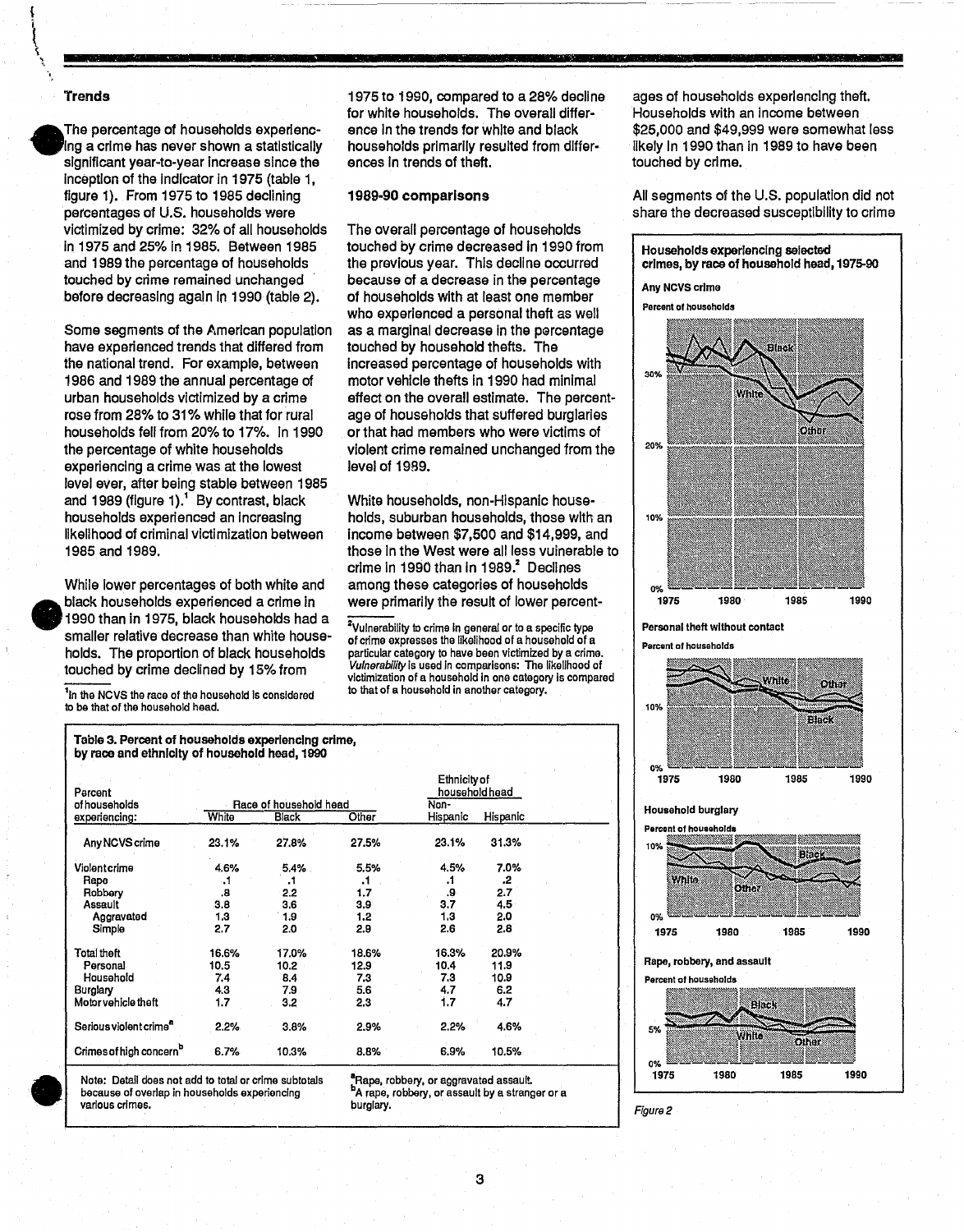#### **Trends**

•

•

The percentage of households experlenc- . Ing a crime has never shown a statistically significant year-to-year increase since the inception of the indicator in 1975 (tabie 1, figure 1). From 1975 to 1985 declining percentages of U.S. households were victimized by crime: 32% of all households In 1975 and 25% in 1985. Between 1985 and 1989 the percentage of households touched by crime remained unchanged . before decreasing again In 1990 (table 2).

Some segments of the American population have experienced trends that differed from the national trend. For example, between 1986 and 1989 the annual percentage of urban households victimized by a crime rose from 28% to 31% while that for rural households fell from 20% to 17%. in 1990 the percentage of white households experiencing a crime was at the lowest level ever, after being stable between 1985 and 1989 (figure 1).<sup>1</sup> By contrast, black households experienced an Increasing likelihood of criminal victimization between 1985 and 1989.

While lower percentages of both white and black households experienced a crime in 1990 than in 1975, black households had a smaller relative decrease than white households. The proportion of black households touched by crime declined by 15% from

<sup>1</sup>In the NCVS the race of the household is considered to be that of the household head.

Table 3. Percent of households experiencing crime,

1975 to 1990, compared to a 28% decline for white households. The overall difference In the trends for white and black households primarily resulted from differences In trends of theft.

#### 1989·90 comparisons

The overall percentage of households touched by crime decreased In 1990 from the previous year. This decline occurred because of a decrease in the percentage of households with at least one member who experienced a personal theft as well as a marginal decrease in the percentage touched by household thefts. The Increased percentage of households with motor vehicle thefts In 1990 had minimal effect on the overall estimate. The percentage of households that suffered burglaries or that had members who were victims of violent crime remained unchanged from the level of 1989.

White households, non-Hispanic households, suburban households, those with an income between \$7,500 and \$14,999, and those in the West were all less vulnerable to crime in 1990 than in 1989. $^2$  Declines among these categories of households Were primarily the result of lower percent-

ZVulnerability to crime In general or to a specific typa of crime expresses the likelihood of a household of a particular category to have bean victimized by a crime. Vulnerability Is used In comparisons: The likelihood of victimization of a household In one category Is compared to that of a household in another category.

ages of households experIencing theft. Households with an Income between \$25,000 and \$49,999 were somewhat less likely In 1990 than in 1989 to have been touched by crime.

All seaments of the U.S. population did not share the decreased susceptibility to crime

Households experiencing selected crimes, by race of household head, 1975-90 Any NOVS crIme





Parcont 01 housoholds

Figure 2



| by race and ethnicity of household head, 1990 |       |                        |       |                                |          |  |  |  |
|-----------------------------------------------|-------|------------------------|-------|--------------------------------|----------|--|--|--|
| Percent                                       |       |                        |       | Ethnicity of<br>household head |          |  |  |  |
| of households                                 |       | Race of household head | Non-  |                                |          |  |  |  |
| experiencing:                                 | White | Black                  | Other | Hispanic                       | Hispanic |  |  |  |
| Any NCVS crime                                | 23.1% | 27.8%                  | 27.5% | 23.1%                          | 31.3%    |  |  |  |
| <b>Malantarima</b>                            | A COL | <b>E ADJ</b>           | E Ees | A EOL                          | 7 NOL    |  |  |  |

| Note: Detail does not add to total or crime subtotals<br>because of overlap in households experiencing<br>various crimes. |               |                            | burglary.     | "Rape, robbery, or aggravated assault.<br><sup>b</sup> A rape, robbery, or assault by a stranger or a |               |  |
|---------------------------------------------------------------------------------------------------------------------------|---------------|----------------------------|---------------|-------------------------------------------------------------------------------------------------------|---------------|--|
| Crimes of high concern <sup>D</sup>                                                                                       | 6.7%          | 10.3%                      | 8.8%          | 6.9%                                                                                                  | 10.5%         |  |
| Serious violent crime <sup>e</sup>                                                                                        | $2.2\%$       | 3.8%                       | 2.9%          | 2.2%                                                                                                  | 4.6%          |  |
| Motor vehicle theft                                                                                                       | 1.7           | 3.2                        | 2.3           | 1.7                                                                                                   | 4.7           |  |
| Burglary                                                                                                                  | 4.3           | 7.9                        | 5.6           | 4.7                                                                                                   | 6.2           |  |
| Household                                                                                                                 | 7.4           | 8.4                        | 7.3           | 7.3                                                                                                   | 10.9          |  |
| Total theft<br>Personal                                                                                                   | 16.6%<br>10.5 | 17.0%<br>10.2 <sub>1</sub> | 18.6%<br>12.9 | 16.3%<br>10.4                                                                                         | 20.9%<br>11.9 |  |
| Simple                                                                                                                    |               |                            |               |                                                                                                       |               |  |
| Aggravated                                                                                                                | 1.3<br>2.7    | 1.9<br>2.0                 | 1.2<br>2.9    | 1.3<br>2.6                                                                                            | 2.0<br>2.8    |  |
| Assault                                                                                                                   | 9.8           | 3,6                        | 3.9           | 3.7                                                                                                   | 4.5           |  |
| Robbery                                                                                                                   | .в            | 2.2                        | 1.7           | 9.                                                                                                    | 2.7           |  |
| Rape                                                                                                                      | ۰.            | .1                         | ۰.            | .1                                                                                                    | .2            |  |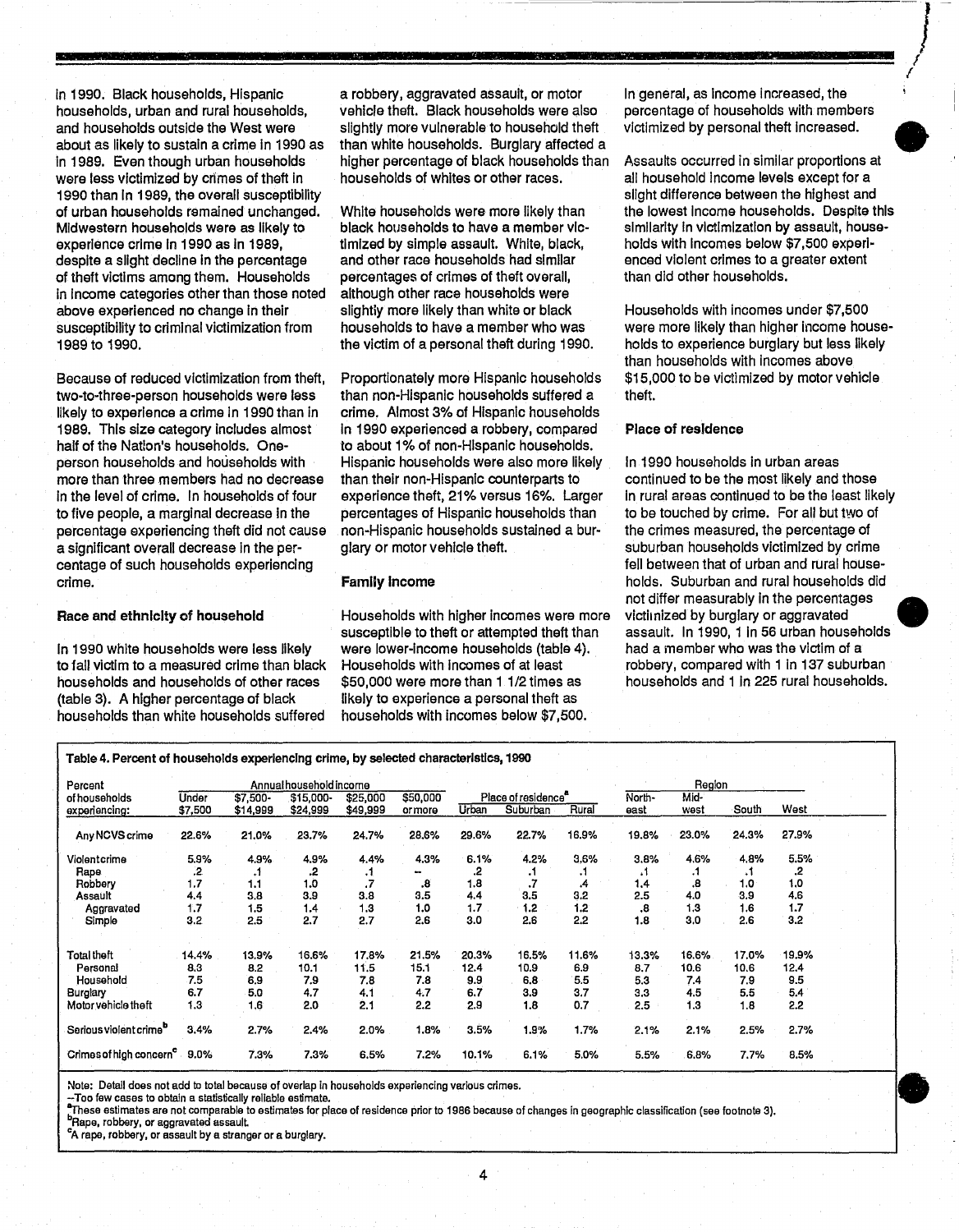In 1990. Black households, Hispanic households, urban and rural households, and households outside the West were about as likely to sustain a crime in 1990 as in 1989. Even though urban households were less victimized by crimes of theft In 1990 than In 1989, the overall susceptibility of urban households remained unchanged. Midwestern households were as likely to experience crime In 1990 as In 1989, despite a slight decline in the percentage of theft victims among them. Households In Income categories other than those noted above experienced no change in their susceptibility to criminal victimization from 1989 to 1990.

**-**

Because of reduced victimization from theft, two-to-three-person households were lass likely to experience a crime in 1990 than in 1989. This size category includes almost half of the Nation's households. Oneperson households and households with more than three members had no decrease In the level of crime. In households of four to five people, a marginal decrease In the percentage experiencing theft did not cause a significant overall decrease In the percentage of such households experiencing crime.

#### Race and ethnlclty of household

In 1990 white households were less likely to fall victim to a measured crime than black households and households of other races (table 3). A higher percentage of black households than white households suffered

a robbery, aggravated assault, or motor vehicle theft. Black households were also slightly more vulnerable to household theft than white households. Burglary affected a higher percentage of black households than households of whites or other races.

White households were more likely than black households to have a member victimized by simple assault. White, black, and other race households had similar percentages of crimes of theft overall, although other race households were slightiy more likely than white or black households to have a member who was the victim of a personal theft during 1990.

Proportionately more Hispanic households than non-Hispanic households suffered a crime. Almost 3% of Hispanic households In 1990 experienced a robbery, compared to about 1% of non-Hispanic households. Hispanic households were also more likely than their non-Hispanic counterparts to experience theft, 21% versus 16%. Larger percentages of Hispanic households than non-Hispanic households sustained a burglary or motor vehicle theft.

#### Family Income

Households with higher incomes were more susceptible to theft or attempted theft than were lower-income households (table 4). Households with Incomes of at least \$50,000 were more than 1 1/2 times as likely to experience a personal theft as households with incomes below \$7,500.

In general, as Income increased, the percentage of households with members victimized by personal theft Increased.

*J*  f f

Assaults occurred in similar proportions at all household Income levels except for a slight difference between the highest and the lowest Income households. Despite this similarity in victimization by assault, households with Incomes below \$7,500 experienced violent crimes to a greater extent than did other households. •

Households with incomes under \$7,500 were more likely than higher income households to experience burglary but less likely than households with Incomes above \$15,000 to be victimized by motor vehicle theft.

#### Place of residence

In 1990 households in urban areas continued to be the most likely and those In rural areas continued to be the least likely to be touched by crime. For all but two of the crimes measured, the percentage of suburban households victimized by crime fell between that of urban and rural households. Suburban and rural households did not differ measurably in the percentages • victilnized by burglary or aggravated assault. In 1990, 1 in 56 urban households had a member who was the victim of a robbery, compared with 1 in 137 suburban households and 1 In 225 rural households.

| Percent                                  | Annual household income |                      |                       |                      |                    |       |                                 |       |                | Region       |       |       |  |
|------------------------------------------|-------------------------|----------------------|-----------------------|----------------------|--------------------|-------|---------------------------------|-------|----------------|--------------|-------|-------|--|
| of households<br>experiencing:           | Under<br>\$7,500        | \$7,500-<br>\$14,999 | \$15,000-<br>\$24,999 | \$25,000<br>\$49,999 | \$50,000<br>ormore | Urban | Place of residence"<br>Suburban | Rural | North-<br>east | Mid-<br>west | South | West  |  |
| Any NCVS crime                           | 22.6%                   | 21.0%                | 23.7%                 | 24.7%                | 28.6%              | 29.6% | 22.7%                           | 16.9% | 19.8%          | 23.0%        | 24.3% | 27.9% |  |
| Violentcrime                             | 5.9%                    | 4.9%                 | 4.9%                  | 4.4%                 | 4.3%               | 6.1%  | 4.2%                            | 3.6%  | 3.8%           | 4.6%         | 4,8%  | 5.5%  |  |
| Rape                                     | .2                      | A                    | .2                    | - 7                  |                    | 2.    | ۰1                              |       | ۰.             | .1           | .1    | 2.    |  |
| Robbery                                  | 1.7                     | 1.1                  | 1.0                   | .7                   | .8                 | 1.8   |                                 |       | 1,4            | 8.           | 1.0   | 1.0   |  |
| Assault                                  | 4.4                     | 3.8                  | 3.9                   | 3.8                  | 3.5                | 4.4   | 3.5                             | 3.2   | 2.5            | 4.0          | 3,9   | 4.6   |  |
| Aggravated                               | 1.7                     | 1,5                  | 1.4                   | 1.3                  | 1.0                | 1.7   | 1.2                             | 1.2   | .8             | 1,3          | 1.6   | 1,7   |  |
| Simple                                   | 3.2                     | 2.5                  | 2.7                   | 2.7                  | 2.6                | 3.0   | 2.6                             | 2.2   | 1.8            | 3,0          | 2.6   | 3.2   |  |
| Total theft                              | 14.4%                   | 13.9%                | 16.6%                 | 17.8%                | 21.5%              | 20.3% | 16.5%                           | 11.6% | 13.3%          | 16.6%        | 17.0% | 19.9% |  |
| Personal                                 | 8,3                     | 8.2                  | 10.1                  | 11.5                 | 15.1               | 12.4  | 10.9                            | 6.9   | 8.7            | 10.6         | 10.6  | 12.4  |  |
| Household                                | 7.5                     | 6.9                  | 7.9                   | 7.8                  | 7.8                | 9.9   | 6.8                             | 5.5   | 5.3            | 7.4          | 7.9   | 9.5   |  |
| <b>Burglary</b>                          | 6.7                     | 5.0                  | 4.7                   | 4.1                  | 4.7                | 6.7   | 3.9                             | 3.7   | 3.3            | 4.5          | 5.5   | 5.4   |  |
| Motor vehicle theft                      | 1.3                     | 1.6                  | 2.0                   | 2.1                  | 2.2                | 2.9   | 1.8                             | 0.7   | 2.5            | 1.3          | 1.8   | 2.2   |  |
| Serious violent crime <sup>b</sup>       | 3.4%                    | 2.7%                 | 2.4%                  | 2.0%                 | 1.8%               | 3.5%  | 1.9%                            | 1.7%  | 2.1%           | 2.1%         | 2.5%  | 2.7%  |  |
| Crimes of high concern <sup>c</sup> 9.0% |                         | 7.3%                 | 7.3%                  | 6.5%                 | 7.2%               | 10.1% | 6.1%                            | 5.0%  | 5.5%           | 6.8%         | 7.7%  | 8.5%  |  |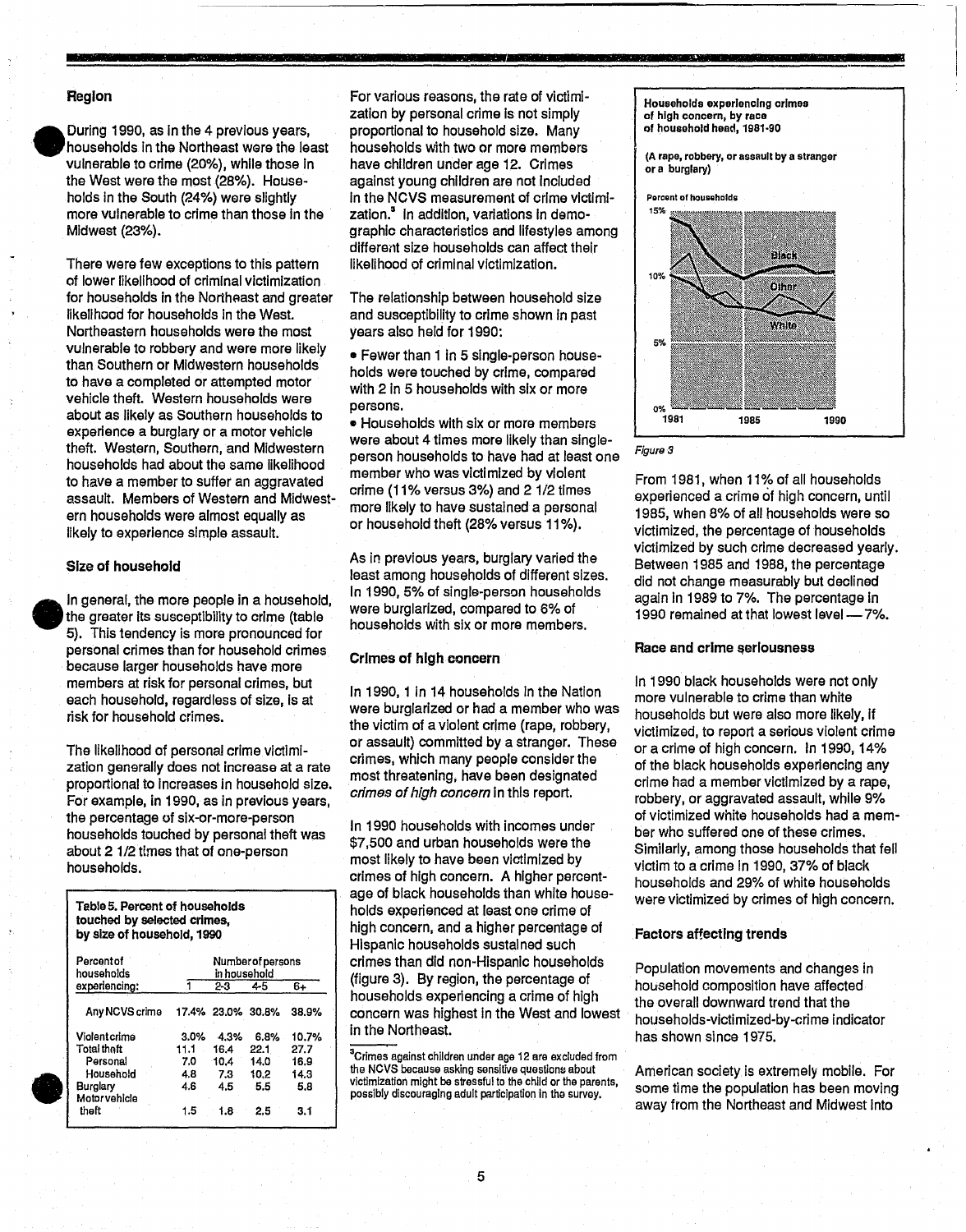#### Region

•

During 1990, as in the 4 previous years, households In the Northeast were the least vulnerable to crime (20%), while those In the West were the most (28%). Households In the South (24%) were slightly more vulnerable to crime than those In the Midwest (23%).

There were few exceptions to this pattern of lower likelihood of criminal victimization for households in the Northeast and greater likelihood for households In the West. Northeastern households were the most vulnerable to robbery and were more likely than Southern or Midwestern households to have a completed or attempted motor vehicle theft. Western households were about as likely as Southern households to experience a burglary or a motor vehicle theft. Western, Southern, and Midwestern households had about the same likelihood to have a member to suffer an aggravated assault. Members of Western and Midwestern households were almost equally as likely to experience simple assault.

#### Size of household

In general, the more people in a household, the greater its susceptibility to crime (table 5). This tendency is more pronounced for personal crimes than for household crimes because larger households have more members at risk for personal crimes, but each household, regardless of size, Is at risk for household crimes.

The likelihood of personal crime victimization generally does not increase at a rate proportional to increases in household size. For example, in 1990, as in previous years, the percentage of six-or-more-person households touched by personal theft was about 2 1/2 times that of one-person households.

TableS. Percent of households touched by selected crimes, by size of household, 1990

| Percentof<br>households         | Number of persons<br>in household |                   |      |       |  |  |  |
|---------------------------------|-----------------------------------|-------------------|------|-------|--|--|--|
| experiencing:                   |                                   | 2-3               | 45   | 6+    |  |  |  |
| Any NCVS crime                  |                                   | 17.4% 23.0% 30.8% |      | 38.9% |  |  |  |
| Violentcrime                    | $3.0\%$                           | 4.3%              | 6.8% | 10.7% |  |  |  |
| <b>Total thaft</b>              | 11.1                              | 16.4              | 22.1 | 27.7  |  |  |  |
| Personal                        | 7.0                               | 10.4              | 14.0 | 16.9  |  |  |  |
| Household                       | 4.8                               | 7.3               | 10.2 | 14.3  |  |  |  |
| <b>Burglary</b><br>Motorvehicle | 4.6                               | 4.5               | 5.5  | 5.8   |  |  |  |
| thaft                           | 1.5                               | 1.8               | 2.5  | 3.1   |  |  |  |

For various reasons, the rate of victimization by personal crime is not simply proportional to household size. Many households with two or more members have children under age 12. Crimes against young children are not included In the NCVS measurement of crime victimlzation.<sup>3</sup> in addition, variations in demographic characteristics and lifestyles among different size households can affect their likelihood of criminal victimization.

The relationship between household size and susceptibility to crime shown in past years also heid for 1990:

• Fewer than 1 in 5 single-person households were touched by crime, compared with 2 in 5 households with six or more persons.

• Households with six or more members were about 4 times more likely than singleperson households to have had at least one member who was victimized by violent crime (11% versus 3%) and 2112 times more likely to have sustained a personal or household theft (28% versus 11%).

As in previous years, burglary varied the least among households of different sizes. In 1990, 5% of single-person households were burglarized, compared to 6% of households with six or more members.

#### Crimes of high concern

In 1990, 1 in 14 households in the Nation were burglarized or had a member who was the victim of a violent crime (rape, robbery, or assault) committed by a stranger. These crimes, which many people consider the most threatening, have been designated crimes of high concern in this report.

In 1990 households with incomes under \$7,500 and urban households were the most likely to have been victimized by crimes of high concern. A higher percentage of black households than white households experienced at least one crime of high concern, and a higher percentage of Hispanic households sustained such crimes than did non-Hispanic households (figure 3). By region, the percentage of households experiencing a crime of high concern was highest in the West and lowest in the Northeast.

Households experiencing crimes of high concern, by race of household head, 1981·90

(A rape, robbery. or assault by a stranger or a burglary)



Figura 3

From 1981, when 11% of all households experienced a crime of high concern, until 1985, when 8% of all households were so victimized, the percentage of households victimized by such crime decreased yearly. Between 1985 and 1988, the percentage did not change measurably but declined again In 1989 to 7%. The percentage in 1990 remained at that lowest level -7%.

#### Race and crime seriousness

In 1990 black households were not only more vulnerable to crime than white households but were also more likely, if victimized, to raport a serious violent crime or a crime of high concern. In 1990, 14% of the black households experiencing any crime had a member victimized by a rape, robbery, or aggravated assault, while 9% of victimized white households had a member who suffered one of these crimes. Similarly, among those households that fell victim to a crime In 1990, 37% of black households and 29% of white households were victimized by crimes of high concern.

#### Factors affecting trends

Population movements and changes in household composition have affected the overall downward trend that the households-vlctimlzed-by-crime indicator has shown since 1975.

American society is extremely mobile. For some time the population has been moving away from the Northeast and Midwest Into

<sup>&</sup>lt;sup>3</sup>Crimes against children under age 12 are excluded from the NCVS because asking sensitive questions about victimization might be stressful to the child or the parents, possibly discouraging adult participation in the survey.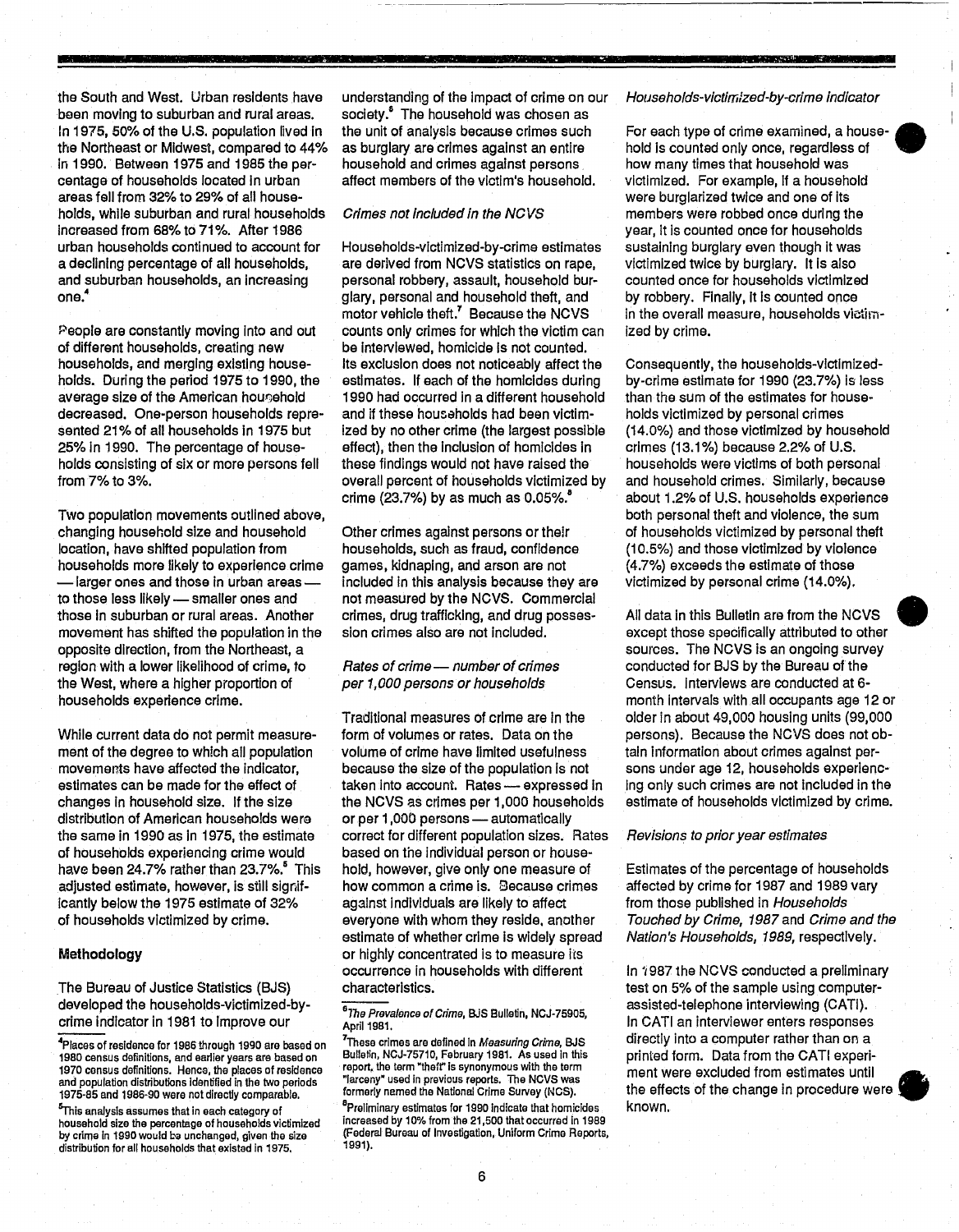the South and West. Urban residents have been moving to suburban and rural areas. In 1975, 50% of the U.S. population lived in the Northeast or Midwest, compared to 44% In 1990. Between 1975 and 1985 the percentage of households located In urban areas fell from 32% to 29% of all households, while suburban and rural households Increased from 68% to 71 %. After 1986 urban households continued to account for a declining percentage of all households, and suburban households, an increasing one.<sup>4</sup>

People are constantly moving Into and out of different households, creating new households, and merging existing households. During the period 1975 to 1990, the average size of the American hougehold decreased. One-person households represented 21% of all households in 1975 but 25% In 1990. The percentage of households consisting of six or more persons fell from 7% to 3%.

Two population movements outlined above, changing household size and household location, have shifted population from households more likely to experience crime -larger ones and those In urban areasto those less likely - smaller ones and those In suburban or rural areas. Another movement has shifted the population in the opposite direction, from the Northeast, a region with a lower likelihood of crime, to the West, where a higher proportion of households experience crime.

While current data do not permit measurement of the degree to which all population movements have affected the Indicator, estimates can be made for the effect of changes In household size. If the size distribution of American households wera the same in 1990 as In 1975, the estimate of households experiencing crime would have been 24.7% rather than 23.7%.<sup>5</sup> This adjusted estimate, however, Is still signif-Icantly below the 1975 estimate of 32% of households victimized by crime.

#### **Methodology**

The Bureau of Justice Statistics (BJS) developed the households-victimized-bycrime indicator in 1981 to Improve our

4Places of residence for 1986 through 1990 are based on 1980 census definitions, and earlier years are based on 1970 census definitions. Henca, the places of residence and population distributions identified in the two periods 1975-85 and 1986-90 were notdirectiy comparable.

<sup>5</sup>This analysis assumes that in each category of household size the percentage of households victimized by crime in 1990 would be unchanged, given the size distribution for all households that existed in 1975.

understanding of the Impact of crime on our society.<sup>5</sup> The household was chosen as the unit of analysis because crimes such as burglary are crimes against an entire household and crimes against persons affect members of the victim's household.

#### Crimes not included in the NCVS

Households-vlctlmized-by-crime estimates are derived from NCVS statistics on rape, personal robbery, assault, household burglary, personal and household theft, and motor vehicle theft.7 Because the NCVS counts only crimes for which the victim can be Interviewed, homicide Is not counted. Its exclusion does not noticeably affect the estimates. If each of the homicides during 1990 had occurred In a different household and if these housaholds had been victimized by no other crime (the largest possible effect), then the Inclusion of homicides In these findings would not have raised the overall percent of households victimized by crime (23.7%) by as much as  $0.05\%$ .

Other crimes against persons or their households, such as fraud, confidence games, kidnaping, and arson are not included In this analysis because they are not measured by the NCVS. Commercial crimes, drug trafficking, and drug possession crimes also are not Included.

#### Rates of crime- number of crimes per 1,000 persons or households

Traditional measures of crime are In the form of volumes or rates. Data on the volume of crime have limited usefulness because the size of the population Is not taken into account. Rates - expressed in the NCVS as crimes per 1,000 households or per 1,000 persons - automatically correct for different population sizes. Rates based on the Individual person or household, however, give only one measure of how common a crime is. Because crimes against individuals are likely to affect everyone with whom they reside. another estimate of whether crime is widely spread or highly concentrated is to measure its occurrence in households with different characteristics.

#### Households-victimized-by-crime indicator

**CACCAGE IN** 

æ

**•** 

For each type of crime examined, a house- • hold Is counted only once, regardless of how many times that household was victimized. For example, If a household were burglarized twice and one of Its members were robbed once during the year, it is counted once for households sustaining burglary even though it was victimized twice by burglary. It Is also counted once for households victimized by robbery. Finally, It Is counted once in the overall measure, households victimized by crime.

Consequently, the households-vlctlmlzedby-crime estimate for 1990 (23.7%) Is less than the sum of the estimates for households victimized by personal crimes (14.0%) and those victimized by household crimes (13.1%) because 2.2% of U.S. households were victims of both personal and household crimes. Similarly, because about 1.2% of U.S. households experience both personal theft and violence, the sum of households victimized by personal theft (10.5%) and those victimized by violence (4.7%) exceeds the estimate of those victimized by personal crime (14.0%).

All data in this Bulletin are from the NCVS • except those specifically attributed to other sources. The NCVS is an ongoing survey conducted for BJS by the Bureau of the Census. Interviews are conducted at 6 month intervals with all occupants age 12 or older in about 49,000 housing units (99,000 persons). Because the NCVS does not obtain Information about crimes against persons under age 12, households experienc-Ing only such crimes are not Included In the estimate of households victimized by crime.

#### Revisions to prior year estimates

Estimates of the percentage of households affected by crime for 1987 and 1989 vary from those published in Households Touched by Crime, 1987 and Crime and the Nation's Households, 1989, respectively.

In '1987 the NCVS conducted a preliminary test on 5% of the sample using computerassisted-telephone interviewing (CATI). In CATI an interviewer enters responses directly into a computer rather than on a printed form. Data from the CATI experiment were excluded from estimates until • the effects of the change in procedure were known.



6

*<sup>6</sup>*The Prevalonce of Crime, B.iS Bulletin, NCJ-75905, April 1981.

 $^7$ These crimes are defined in *Measuring Crime,* BJS Bulletin, NCJ-75710, February 1981. As used in this report, the term "theff' is synonymous with the term "larceny· used in previous reports. The NCVS was formeriy named the National Crime Survey (NCS). <sup>8</sup>Preliminary estimates for 1990 indicate that homicides increased by 10% from the 21,500 that occurred in 1989 (Federal Bureau of Investigation, Uniform Crime Reports, 1991).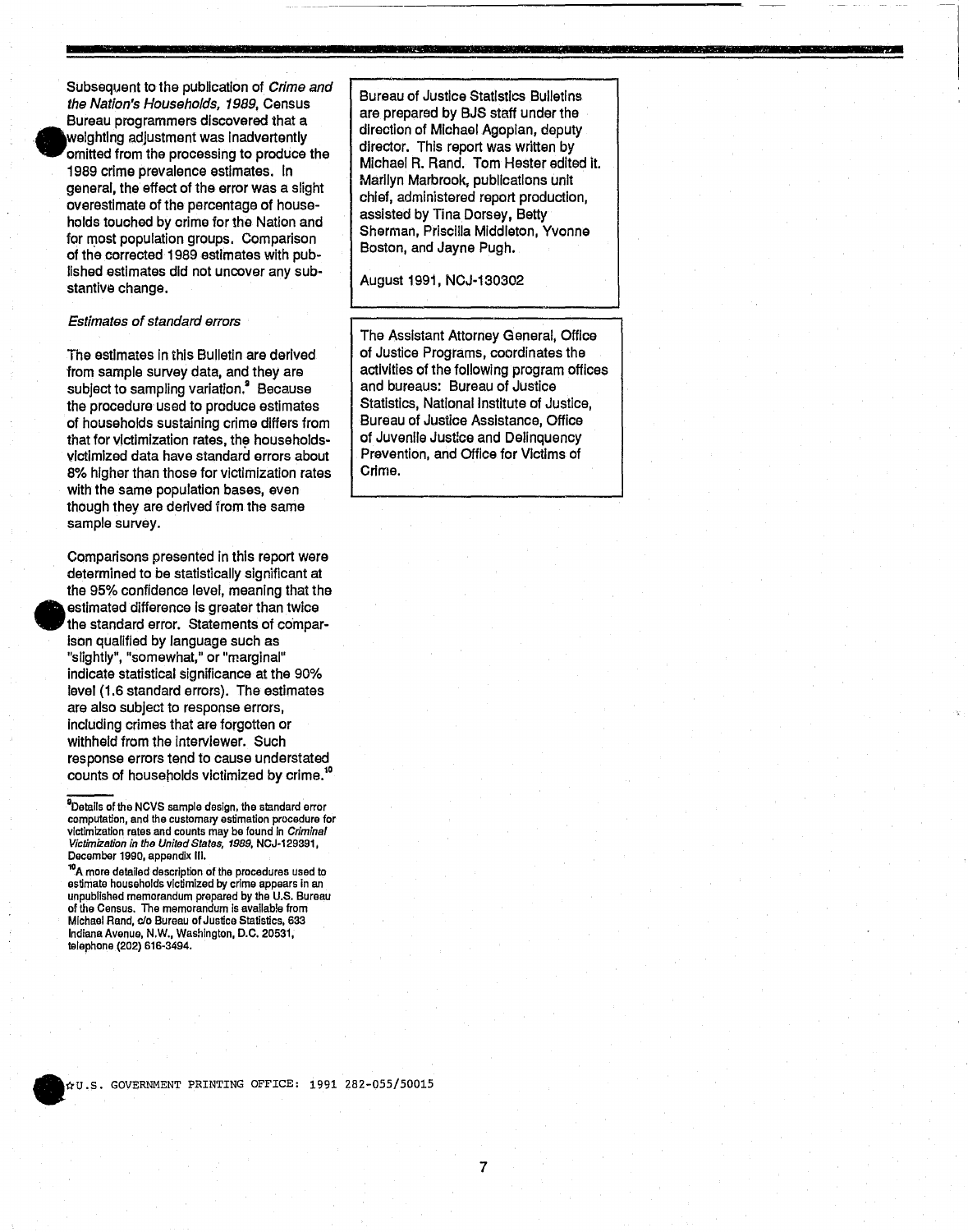

•

Subsequent to the publication of Crime and the Nation's Households, 1989, Census Bureau programmers discovered that a weighting adjustment was inadvertently omitted from the processing to produce the 1989 crime prevalence estimates. In general, the effect of the error was a slight overestimate of the percentage of households touched by crime for the Nation and for most population groups. Comparison of the corrected 1989 estimates with published estimates did not uncover any substantive change.

#### Estimates of standard errors

The estimates in this Bulletin are derived from sample survey data, and they are subject to sampling variation.<sup>9</sup> Because the procedure used to produce estimates of households sustaining crime differs from that for victimization rates, the householdsvictimized data have standard errors about 8% higher than those for victimization rates with the same population bases, even though they are derived from the same sample survey.

Comparisons presented in this report were determined to be statistically significant at the 95% confidence level, meaning that the estimated difference is greater than twice the standard error. Statements of compar-Ison qualified by language such as "slightly", "somewhat," or "marginal" indicate statistical significance at the 90% level (1.6 standard errors). The estimates are also subject to response errors, including crimes that are forgotten or withheld from the interviewer. Such response errors tend to cause understated counts of households victimized by crime.<sup>1</sup>

<sup>10</sup>A more detailed description of the procedures used to estimate households victimized by crime appears in an unpublished memorandum prepared by the U.S. Bureau of the Census. The memorandum Is available from Michael Rand, cia Bureau of Justice Statistics, 633 Indiana Avenue, N.W., Washington, D.C. 20531, telephone (202) 616-3494.

Bureau of Justice Statistics Bulletins are prepared by BJS staff under the direction of Michael Agoplan, deputy director. This report was written by Michael R. Rand. Tom Hester edited it. Marilyn Marbrook, publications unit chief, administered report production, assisted by Tina Dorsey, Betty Sherman, Priscilla Middleton, Yvonne Boston, and Jayne Pugh.

**=** 

#### August 1991, NCJ-130302

The Assistant Attorney General, Office of Justice Programs, coordinates the activities of the following program offices and bureaus: Bureau of Justice Statistics, National Institute of Justice, Bureau of Justice Assistance, Office of JUvenile Justlce and Delinquency Prevention, and Office for Victims of Crime.

<sup>---</sup> DDetails of the NCVS sample design, the slandard error computation, and the customary estimation procedure for victimization rates and counts may be found In Criminal Victimization in tho United States, 1989, NCJ-129391, December 1990, appendix III.